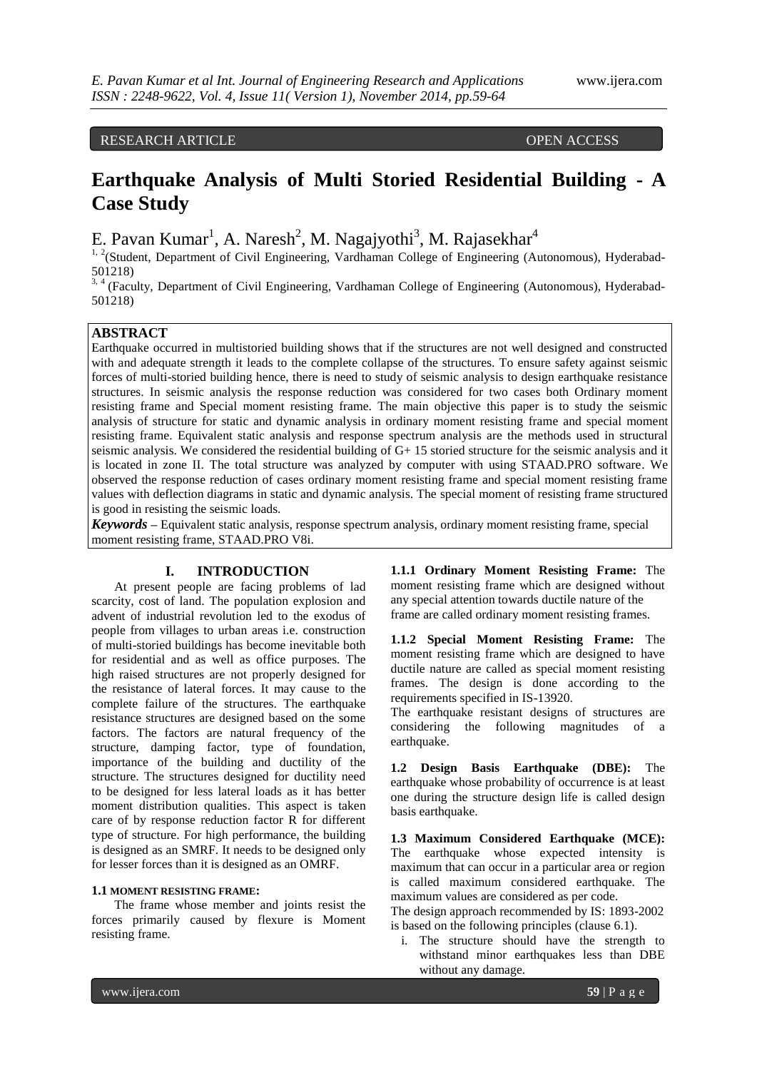# RESEARCH ARTICLE OPEN ACCESS

# **Earthquake Analysis of Multi Storied Residential Building - A Case Study**

E. Pavan Kumar<sup>1</sup>, A. Naresh<sup>2</sup>, M. Nagajyothi<sup>3</sup>, M. Rajasekhar<sup>4</sup>

<sup>1, 2</sup>(Student, Department of Civil Engineering, Vardhaman College of Engineering (Autonomous), Hyderabad-501218)

<sup>3, 4</sup> (Faculty, Department of Civil Engineering, Vardhaman College of Engineering (Autonomous), Hyderabad-501218)

# **ABSTRACT**

Earthquake occurred in multistoried building shows that if the structures are not well designed and constructed with and adequate strength it leads to the complete collapse of the structures. To ensure safety against seismic forces of multi-storied building hence, there is need to study of seismic analysis to design earthquake resistance structures. In seismic analysis the response reduction was considered for two cases both Ordinary moment resisting frame and Special moment resisting frame. The main objective this paper is to study the seismic analysis of structure for static and dynamic analysis in ordinary moment resisting frame and special moment resisting frame. Equivalent static analysis and response spectrum analysis are the methods used in structural seismic analysis. We considered the residential building of G+ 15 storied structure for the seismic analysis and it is located in zone II. The total structure was analyzed by computer with using STAAD.PRO software. We observed the response reduction of cases ordinary moment resisting frame and special moment resisting frame values with deflection diagrams in static and dynamic analysis. The special moment of resisting frame structured is good in resisting the seismic loads.

*Keywords* **–** Equivalent static analysis, response spectrum analysis, ordinary moment resisting frame, special moment resisting frame, STAAD.PRO V8i.

# **I. INTRODUCTION**

At present people are facing problems of lad scarcity, cost of land. The population explosion and advent of industrial revolution led to the exodus of people from villages to urban areas i.e. construction of multi-storied buildings has become inevitable both for residential and as well as office purposes. The high raised structures are not properly designed for the resistance of lateral forces. It may cause to the complete failure of the structures. The earthquake resistance structures are designed based on the some factors. The factors are natural frequency of the structure, damping factor, type of foundation, importance of the building and ductility of the structure. The structures designed for ductility need to be designed for less lateral loads as it has better moment distribution qualities. This aspect is taken care of by response reduction factor R for different type of structure. For high performance, the building is designed as an SMRF. It needs to be designed only for lesser forces than it is designed as an OMRF.

#### **1.1 MOMENT RESISTING FRAME:**

The frame whose member and joints resist the forces primarily caused by flexure is Moment resisting frame.

**1.1.1 Ordinary Moment Resisting Frame:** The moment resisting frame which are designed without any special attention towards ductile nature of the frame are called ordinary moment resisting frames.

**1.1.2 Special Moment Resisting Frame:** The moment resisting frame which are designed to have ductile nature are called as special moment resisting frames. The design is done according to the requirements specified in IS-13920.

The earthquake resistant designs of structures are considering the following magnitudes of a earthquake.

**1.2 Design Basis Earthquake (DBE):** The earthquake whose probability of occurrence is at least one during the structure design life is called design basis earthquake.

**1.3 Maximum Considered Earthquake (MCE):**  The earthquake whose expected intensity is maximum that can occur in a particular area or region is called maximum considered earthquake. The maximum values are considered as per code.

The design approach recommended by IS: 1893-2002 is based on the following principles (clause 6.1).

i. The structure should have the strength to withstand minor earthquakes less than DBE without any damage.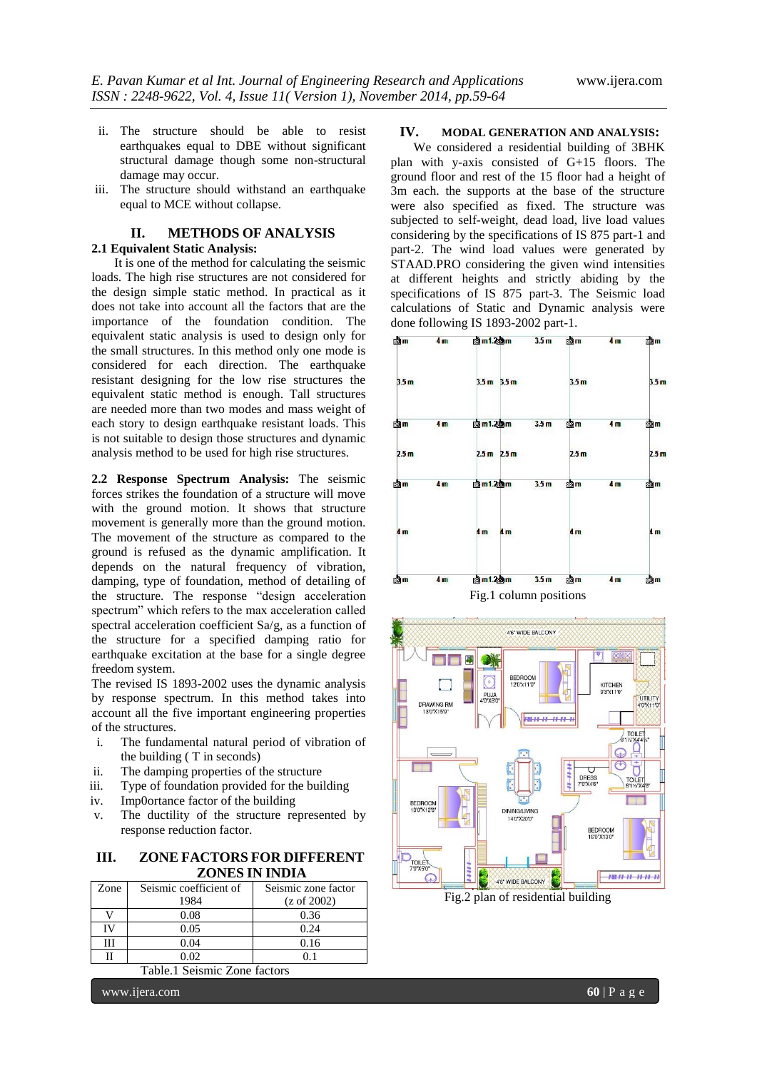- ii. The structure should be able to resist earthquakes equal to DBE without significant structural damage though some non-structural damage may occur.
- iii. The structure should withstand an earthquake equal to MCE without collapse.

# **II. METHODS OF ANALYSIS 2.1 Equivalent Static Analysis:**

It is one of the method for calculating the seismic loads. The high rise structures are not considered for the design simple static method. In practical as it does not take into account all the factors that are the importance of the foundation condition. The equivalent static analysis is used to design only for the small structures. In this method only one mode is considered for each direction. The earthquake resistant designing for the low rise structures the equivalent static method is enough. Tall structures are needed more than two modes and mass weight of each story to design earthquake resistant loads. This is not suitable to design those structures and dynamic analysis method to be used for high rise structures.

**2.2 Response Spectrum Analysis:** The seismic forces strikes the foundation of a structure will move with the ground motion. It shows that structure movement is generally more than the ground motion. The movement of the structure as compared to the ground is refused as the dynamic amplification. It depends on the natural frequency of vibration, damping, type of foundation, method of detailing of the structure. The response "design acceleration spectrum" which refers to the max acceleration called spectral acceleration coefficient Sa/g, as a function of the structure for a specified damping ratio for earthquake excitation at the base for a single degree freedom system.

The revised IS 1893-2002 uses the dynamic analysis by response spectrum. In this method takes into account all the five important engineering properties of the structures.

- i. The fundamental natural period of vibration of the building ( T in seconds)
- ii. The damping properties of the structure
- iii. Type of foundation provided for the building
- iv. Imp0ortance factor of the building
- v. The ductility of the structure represented by response reduction factor.

| III. | <b>ZONE FACTORS FOR DIFFERENT</b> |
|------|-----------------------------------|
|      | ZONES IN INDIA                    |

| Zone | Seismic coefficient of | Seismic zone factor    |
|------|------------------------|------------------------|
|      | 1984                   | $(z \text{ of } 2002)$ |
|      | 0.08                   | 0.36                   |
| TV   | 0.05                   | 0.24                   |
| ш    | 0.04                   | 0.16                   |
|      | 0 O2                   |                        |

Table.1 Seismic Zone factors

www.ijera.com **60** | P a g e

### **IV. MODAL GENERATION AND ANALYSIS:**

We considered a residential building of 3BHK plan with y-axis consisted of G+15 floors. The ground floor and rest of the 15 floor had a height of 3m each. the supports at the base of the structure were also specified as fixed. The structure was subjected to self-weight, dead load, live load values considering by the specifications of IS 875 part-1 and part-2. The wind load values were generated by STAAD.PRO considering the given wind intensities at different heights and strictly abiding by the specifications of IS 875 part-3. The Seismic load calculations of Static and Dynamic analysis were done following IS 1893-2002 part-1.





Fig.2 plan of residential building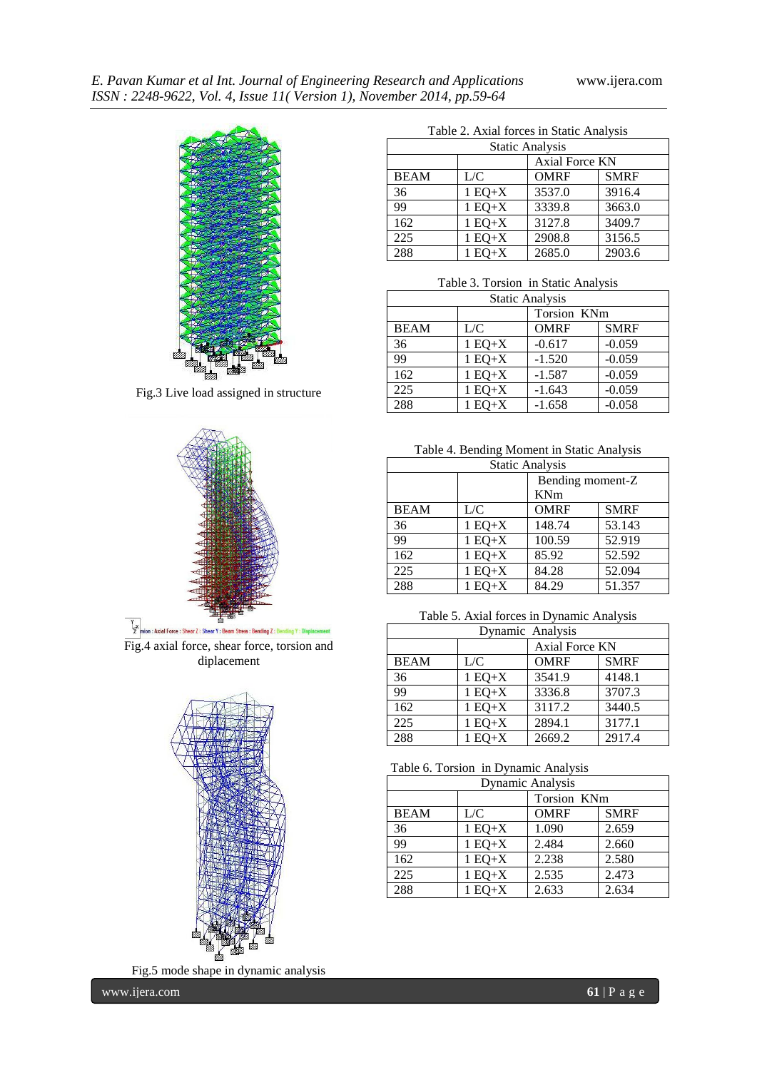

Fig.3 Live load assigned in structure



Fig.4 axial force, shear force, torsion and diplacement



Fig.5 mode shape in dynamic analysis

Table 2. Axial forces in Static Analysis

| <b>Static Analysis</b> |                |             |             |  |
|------------------------|----------------|-------------|-------------|--|
|                        | Axial Force KN |             |             |  |
| <b>BEAM</b>            | L/C            | <b>OMRF</b> | <b>SMRF</b> |  |
| 36                     | $1 EQ+X$       | 3537.0      | 3916.4      |  |
| 99                     | $1 EQ+X$       | 3339.8      | 3663.0      |  |
| 162                    | $1 EQ+X$       | 3127.8      | 3409.7      |  |
| 225                    | $1 EQ+X$       | 2908.8      | 3156.5      |  |
| 288                    | $1 EQ+X$       | 2685.0      | 2903.6      |  |

Table 3. Torsion in Static Analysis

| <b>Static Analysis</b> |          |             |             |  |
|------------------------|----------|-------------|-------------|--|
|                        |          | Torsion KNm |             |  |
| <b>BEAM</b>            | L/C      | <b>OMRF</b> | <b>SMRF</b> |  |
| 36                     | $1 EQ+X$ | $-0.617$    | $-0.059$    |  |
| 99                     | $1 EQ+X$ | $-1.520$    | $-0.059$    |  |
| 162                    | $1 EQ+X$ | $-1.587$    | $-0.059$    |  |
| 225                    | $1 EQ+X$ | $-1.643$    | $-0.059$    |  |
| 288                    | $1 EQ+X$ | $-1.658$    | $-0.058$    |  |

Table 4. Bending Moment in Static Analysis

| <b>Static Analysis</b> |          |                  |             |  |
|------------------------|----------|------------------|-------------|--|
|                        |          | Bending moment-Z |             |  |
|                        |          | <b>KNm</b>       |             |  |
| <b>BEAM</b>            | L/C      | <b>OMRF</b>      | <b>SMRF</b> |  |
| 36                     | $1 EQ+X$ | 148.74           | 53.143      |  |
| 99                     | $1 EQ+X$ | 100.59           | 52.919      |  |
| 162                    | $1 EQ+X$ | 85.92            | 52.592      |  |
| 225                    | $1 EQ+X$ | 84.28            | 52.094      |  |
| 288                    | $1 EQ+X$ | 84.29            | 51.357      |  |

Table 5. Axial forces in Dynamic Analysis

| Dynamic Analysis |          |                |             |  |
|------------------|----------|----------------|-------------|--|
|                  |          | Axial Force KN |             |  |
| <b>BEAM</b>      | L/C      | <b>OMRF</b>    | <b>SMRF</b> |  |
| 36               | $1 EQ+X$ | 3541.9         | 4148.1      |  |
| 99               | $1 EQ+X$ | 3336.8         | 3707.3      |  |
| 162              | $1 EQ+X$ | 3117.2         | 3440.5      |  |
| 225              | $1 EQ+X$ | 2894.1         | 3177.1      |  |
| 288              | $1 EQ+X$ | 2669.2         | 2917.4      |  |

Table 6. Torsion in Dynamic Analysis

| Dynamic Analysis |          |             |             |  |
|------------------|----------|-------------|-------------|--|
|                  |          | Torsion KNm |             |  |
| <b>BEAM</b>      | L/C      | <b>OMRF</b> | <b>SMRF</b> |  |
| 36               | $1 EQ+X$ | 1.090       | 2.659       |  |
| 99               | $1 EQ+X$ | 2.484       | 2.660       |  |
| 162              | $1 EQ+X$ | 2.238       | 2.580       |  |
| 225              | $1 EQ+X$ | 2.535       | 2.473       |  |
| 288              | $1 EQ+X$ | 2.633       | 2.634       |  |

ķ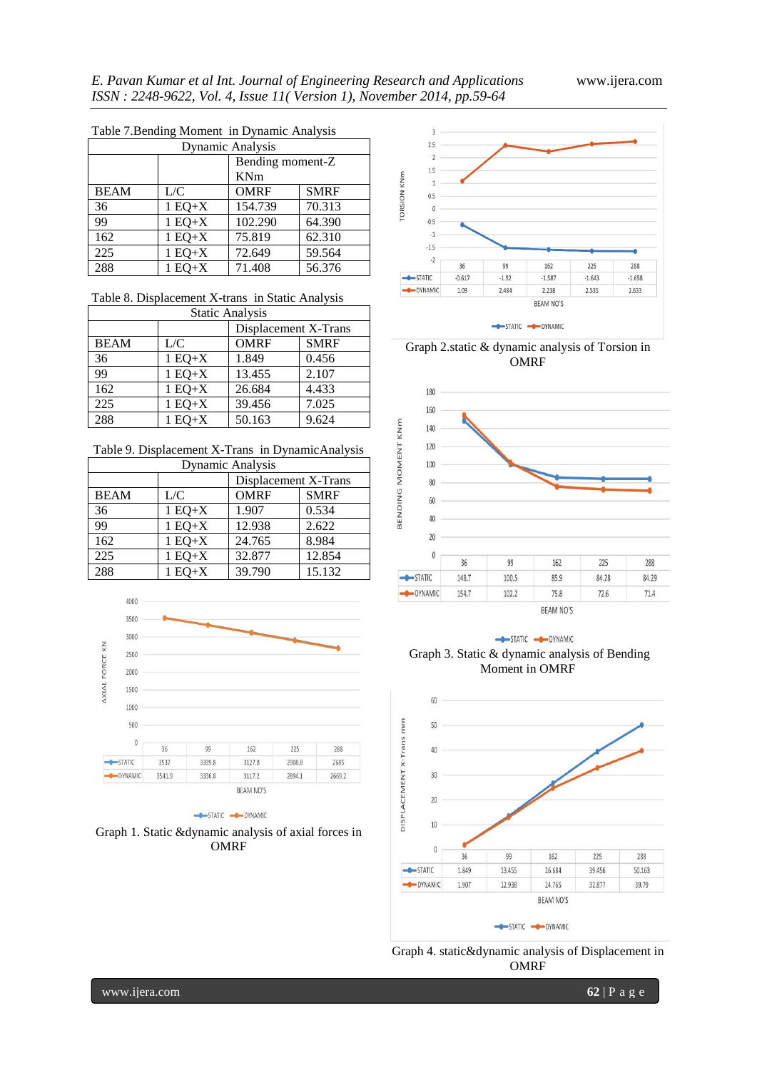|                  | raore <i>r</i> . Dending moment in <i>D</i> ynamic <i>r</i> mar you |                  |             |  |  |
|------------------|---------------------------------------------------------------------|------------------|-------------|--|--|
| Dynamic Analysis |                                                                     |                  |             |  |  |
|                  |                                                                     | Bending moment-Z |             |  |  |
|                  |                                                                     | KNm              |             |  |  |
| <b>BEAM</b>      | L/C                                                                 | <b>OMRF</b>      | <b>SMRF</b> |  |  |
| 36               | $1 EQ+X$                                                            | 154.739          | 70.313      |  |  |
| 99               | $1 EQ+X$                                                            | 102.290          | 64.390      |  |  |
| 162              | $1 EQ+X$                                                            | 75.819           | 62.310      |  |  |
| 225              | $1 EQ+X$                                                            | 72.649           | 59.564      |  |  |
| 288              | $1 EQ+X$                                                            | 71.408           | 56.376      |  |  |

Table 7.Bending Moment in Dynamic Analysis

Table 8. Displacement X-trans in Static Analysis

| <b>Static Analysis</b> |          |                      |             |  |
|------------------------|----------|----------------------|-------------|--|
|                        |          | Displacement X-Trans |             |  |
| <b>BEAM</b>            | L/C      | <b>OMRF</b>          | <b>SMRF</b> |  |
| 36                     | $1 EQ+X$ | 1.849                | 0.456       |  |
| 99                     | $1 EQ+X$ | 13.455               | 2.107       |  |
| 162                    | $1 EQ+X$ | 26.684               | 4.433       |  |
| 225                    | $1 EQ+X$ | 39.456               | 7.025       |  |
| 288                    | $1 EQ+X$ | 50.163               | 9.624       |  |

Table 9. Displacement X-Trans in DynamicAnalysis

| Dynamic Analysis |          |                      |             |  |
|------------------|----------|----------------------|-------------|--|
|                  |          | Displacement X-Trans |             |  |
| <b>BEAM</b>      | L/C      | <b>OMRF</b>          | <b>SMRF</b> |  |
| 36               | $1 EQ+X$ | 1.907                | 0.534       |  |
| 99               | $1 EQ+X$ | 12.938               | 2.622       |  |
| 162              | $1 EQ+X$ | 24.765               | 8.984       |  |
| 225              | $1 EQ+X$ | 32.877               | 12.854      |  |
| 288              | $1 EQ+X$ | 39.790               | 15.132      |  |



STATIC - DYNAMIC





Graph 2.static & dynamic analysis of Torsion in **OMRF** 









Graph 4. static&dynamic analysis of Displacement in **OMRF**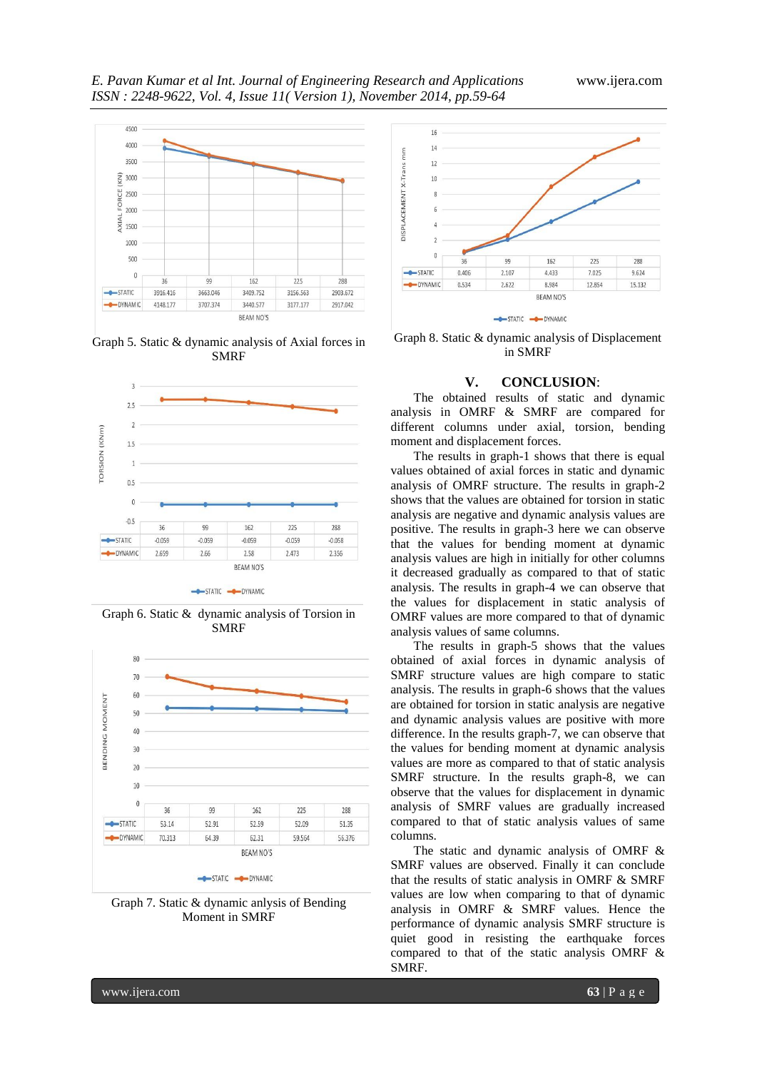

Graph 5. Static & dynamic analysis of Axial forces in SMRF



Graph 6. Static & dynamic analysis of Torsion in SMRF



Graph 7. Static & dynamic anlysis of Bending Moment in SMRF



Graph 8. Static & dynamic analysis of Displacement in SMRF

# **V. CONCLUSION**:

The obtained results of static and dynamic analysis in OMRF & SMRF are compared for different columns under axial, torsion, bending moment and displacement forces.

The results in graph-1 shows that there is equal values obtained of axial forces in static and dynamic analysis of OMRF structure. The results in graph-2 shows that the values are obtained for torsion in static analysis are negative and dynamic analysis values are positive. The results in graph-3 here we can observe that the values for bending moment at dynamic analysis values are high in initially for other columns it decreased gradually as compared to that of static analysis. The results in graph-4 we can observe that the values for displacement in static analysis of OMRF values are more compared to that of dynamic analysis values of same columns.

The results in graph-5 shows that the values obtained of axial forces in dynamic analysis of SMRF structure values are high compare to static analysis. The results in graph-6 shows that the values are obtained for torsion in static analysis are negative and dynamic analysis values are positive with more difference. In the results graph-7, we can observe that the values for bending moment at dynamic analysis values are more as compared to that of static analysis SMRF structure. In the results graph-8, we can observe that the values for displacement in dynamic analysis of SMRF values are gradually increased compared to that of static analysis values of same columns.

The static and dynamic analysis of OMRF & SMRF values are observed. Finally it can conclude that the results of static analysis in OMRF & SMRF values are low when comparing to that of dynamic analysis in OMRF & SMRF values. Hence the performance of dynamic analysis SMRF structure is quiet good in resisting the earthquake forces compared to that of the static analysis OMRF & SMRF.